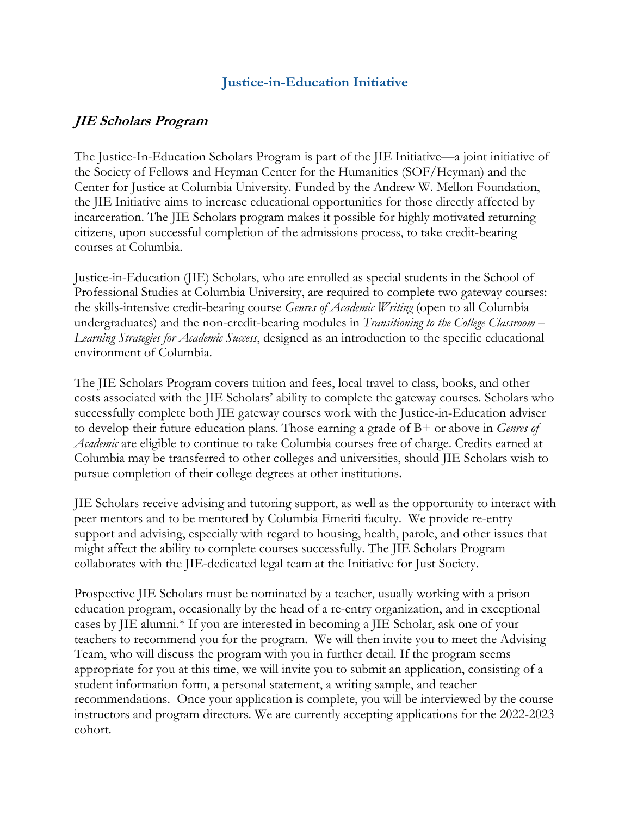## **Justice-in-Education Initiative**

## **JIE Scholars Program**

The Justice-In-Education Scholars Program is part of the JIE Initiative—a joint initiative of the Society of Fellows and Heyman Center for the Humanities (SOF/Heyman) and the Center for Justice at Columbia University. Funded by the Andrew W. Mellon Foundation, the JIE Initiative aims to increase educational opportunities for those directly affected by incarceration. The JIE Scholars program makes it possible for highly motivated returning citizens, upon successful completion of the admissions process, to take credit-bearing courses at Columbia.

Justice-in-Education (JIE) Scholars, who are enrolled as special students in the School of Professional Studies at Columbia University, are required to complete two gateway courses: the skills-intensive credit-bearing course *Genres of Academic Writing* (open to all Columbia undergraduates) and the non-credit-bearing modules in *Transitioning to the College Classroom – Learning Strategies for Academic Success*, designed as an introduction to the specific educational environment of Columbia.

The JIE Scholars Program covers tuition and fees, local travel to class, books, and other costs associated with the JIE Scholars' ability to complete the gateway courses. Scholars who successfully complete both JIE gateway courses work with the Justice-in-Education adviser to develop their future education plans. Those earning a grade of B+ or above in *Genres of Academic* are eligible to continue to take Columbia courses free of charge. Credits earned at Columbia may be transferred to other colleges and universities, should JIE Scholars wish to pursue completion of their college degrees at other institutions.

JIE Scholars receive advising and tutoring support, as well as the opportunity to interact with peer mentors and to be mentored by Columbia Emeriti faculty. We provide re-entry support and advising, especially with regard to housing, health, parole, and other issues that might affect the ability to complete courses successfully. The JIE Scholars Program collaborates with the JIE-dedicated legal team at the Initiative for Just Society.

Prospective JIE Scholars must be nominated by a teacher, usually working with a prison education program, occasionally by the head of a re-entry organization, and in exceptional cases by JIE alumni.\* If you are interested in becoming a JIE Scholar, ask one of your teachers to recommend you for the program. We will then invite you to meet the Advising Team, who will discuss the program with you in further detail. If the program seems appropriate for you at this time, we will invite you to submit an application, consisting of a student information form, a personal statement, a writing sample, and teacher recommendations. Once your application is complete, you will be interviewed by the course instructors and program directors. We are currently accepting applications for the 2022-2023 cohort.